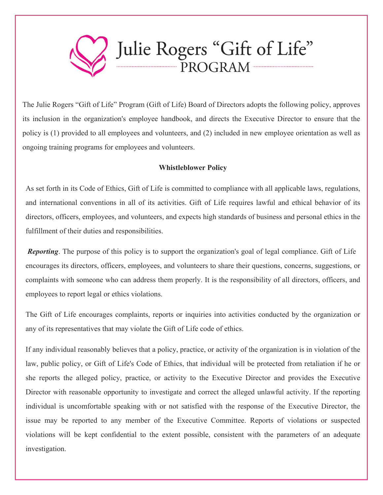

The Julie Rogers "Gift of Life" Program (Gift of Life) Board of Directors adopts the following policy, approves its inclusion in the organization's employee handbook, and directs the Executive Director to ensure that the policy is (1) provided to all employees and volunteers, and (2) included in new employee orientation as well as ongoing training programs for employees and volunteers.

## **Whistleblower Policy**

As set forth in its Code of Ethics, Gift of Life is committed to compliance with all applicable laws, regulations, and international conventions in all of its activities. Gift of Life requires lawful and ethical behavior of its directors, officers, employees, and volunteers, and expects high standards of business and personal ethics in the fulfillment of their duties and responsibilities.

*Reporting*. The purpose of this policy is to support the organization's goal of legal compliance. Gift of Life encourages its directors, officers, employees, and volunteers to share their questions, concerns, suggestions, or complaints with someone who can address them properly. It is the responsibility of all directors, officers, and employees to report legal or ethics violations.

The Gift of Life encourages complaints, reports or inquiries into activities conducted by the organization or any of its representatives that may violate the Gift of Life code of ethics.

If any individual reasonably believes that a policy, practice, or activity of the organization is in violation of the law, public policy, or Gift of Life's Code of Ethics, that individual will be protected from retaliation if he or she reports the alleged policy, practice, or activity to the Executive Director and provides the Executive Director with reasonable opportunity to investigate and correct the alleged unlawful activity. If the reporting individual is uncomfortable speaking with or not satisfied with the response of the Executive Director, the issue may be reported to any member of the Executive Committee. Reports of violations or suspected violations will be kept confidential to the extent possible, consistent with the parameters of an adequate investigation.